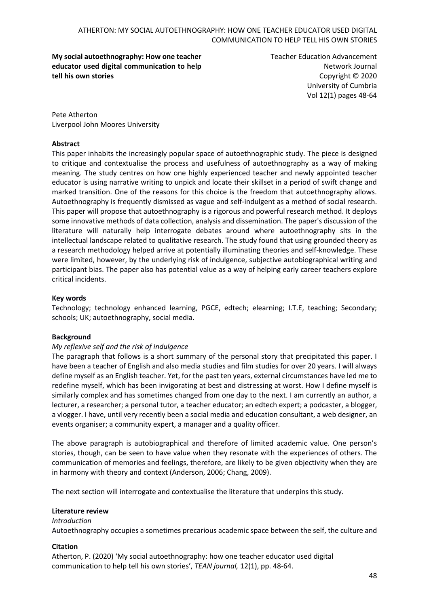**My social autoethnography: How one teacher educator used digital communication to help tell his own stories**

Teacher Education Advancement Network Journal Copyright © 2020 University of Cumbria Vol 12(1) pages 48-64

Pete Atherton Liverpool John Moores University

#### **Abstract**

This paper inhabits the increasingly popular space of autoethnographic study. The piece is designed to critique and contextualise the process and usefulness of autoethnography as a way of making meaning. The study centres on how one highly experienced teacher and newly appointed teacher educator is using narrative writing to unpick and locate their skillset in a period of swift change and marked transition. One of the reasons for this choice is the freedom that autoethnography allows. Autoethnography is frequently dismissed as vague and self-indulgent as a method of social research. This paper will propose that autoethnography is a rigorous and powerful research method. It deploys some innovative methods of data collection, analysis and dissemination. The paper's discussion of the literature will naturally help interrogate debates around where autoethnography sits in the intellectual landscape related to qualitative research. The study found that using grounded theory as a research methodology helped arrive at potentially illuminating theories and self-knowledge. These were limited, however, by the underlying risk of indulgence, subjective autobiographical writing and participant bias. The paper also has potential value as a way of helping early career teachers explore critical incidents.

#### **Key words**

Technology; technology enhanced learning, PGCE, edtech; elearning; I.T.E, teaching; Secondary; schools; UK; autoethnography, social media.

#### **Background**

#### *My reflexive self and the risk of indulgence*

The paragraph that follows is a short summary of the personal story that precipitated this paper. I have been a teacher of English and also media studies and film studies for over 20 years. I will always define myself as an English teacher. Yet, for the past ten years, external circumstances have led me to redefine myself, which has been invigorating at best and distressing at worst. How I define myself is similarly complex and has sometimes changed from one day to the next. I am currently an author, a lecturer, a researcher; a personal tutor, a teacher educator; an edtech expert; a podcaster, a blogger, a vlogger. I have, until very recently been a social media and education consultant, a web designer, an events organiser; a community expert, a manager and a quality officer.

The above paragraph is autobiographical and therefore of limited academic value. One person's stories, though, can be seen to have value when they resonate with the experiences of others. The communication of memories and feelings, therefore, are likely to be given objectivity when they are in harmony with theory and context (Anderson, 2006; Chang, 2009).

The next section will interrogate and contextualise the literature that underpins this study.

#### **Literature review**

# *Introduction* Autoethnography occupies a sometimes precarious academic space between the self, the culture and

#### **Citation**

Atherton, P. (2020) 'My social autoethnography: how one teacher educator used digital communication to help tell his own stories', *TEAN journal,* 12(1), pp. 48-64.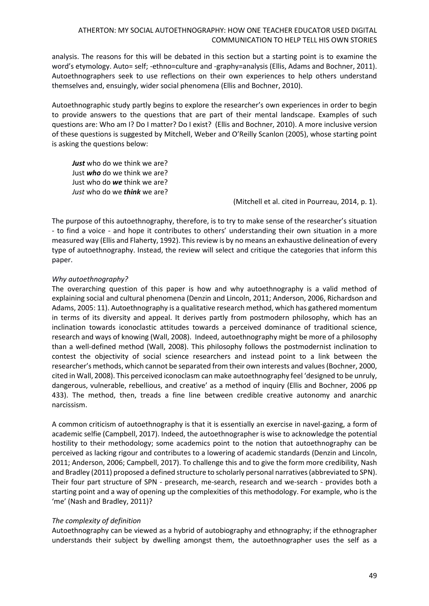analysis. The reasons for this will be debated in this section but a starting point is to examine the word's etymology. Auto= self; -ethno=culture and -graphy=analysis (Ellis, Adams and Bochner, 2011). Autoethnographers seek to use reflections on their own experiences to help others understand themselves and, ensuingly, wider social phenomena (Ellis and Bochner, 2010).

Autoethnographic study partly begins to explore the researcher's own experiences in order to begin to provide answers to the questions that are part of their mental landscape. Examples of such questions are: Who am I? Do I matter? Do I exist? (Ellis and Bochner, 2010). A more inclusive version of these questions is suggested by Mitchell, Weber and O'Reilly Scanlon (2005), whose starting point is asking the questions below:

*Just* who do we think we are? Just *who* do we think we are? Just who do *we* think we are? *Just* who do we *think* we are?

(Mitchell et al. cited in Pourreau, 2014, p. 1).

The purpose of this autoethnography, therefore, is to try to make sense of the researcher's situation - to find a voice - and hope it contributes to others' understanding their own situation in a more measured way (Ellis and Flaherty, 1992). This review is by no means an exhaustive delineation of every type of autoethnography. Instead, the review will select and critique the categories that inform this paper.

# *Why autoethnography?*

The overarching question of this paper is how and why autoethnography is a valid method of explaining social and cultural phenomena (Denzin and Lincoln, 2011; Anderson, 2006, Richardson and Adams, 2005: 11). Autoethnography is a qualitative research method, which has gathered momentum in terms of its diversity and appeal. It derives partly from postmodern philosophy, which has an inclination towards iconoclastic attitudes towards a perceived dominance of traditional science, research and ways of knowing (Wall, 2008). Indeed, autoethnography might be more of a philosophy than a well-defined method (Wall, 2008). This philosophy follows the postmodernist inclination to contest the objectivity of social science researchers and instead point to a link between the researcher's methods, which cannot be separated from their own interests and values (Bochner, 2000, cited in Wall, 2008). This perceived iconoclasm can make autoethnography feel 'designed to be unruly, dangerous, vulnerable, rebellious, and creative' as a method of inquiry (Ellis and Bochner, 2006 pp 433). The method, then, treads a fine line between credible creative autonomy and anarchic narcissism.

A common criticism of autoethnography is that it is essentially an exercise in navel-gazing, a form of academic selfie (Campbell, 2017). Indeed, the autoethnographer is wise to acknowledge the potential hostility to their methodology; some academics point to the notion that autoethnography can be perceived as lacking rigour and contributes to a lowering of academic standards (Denzin and Lincoln, 2011; Anderson, 2006; Campbell, 2017). To challenge this and to give the form more credibility, Nash and Bradley (2011) proposed a defined structure to scholarly personal narratives (abbreviated to SPN). Their four part structure of SPN - presearch, me-search, research and we-search - provides both a starting point and a way of opening up the complexities of this methodology. For example, who is the 'me' (Nash and Bradley, 2011)?

#### *The complexity of definition*

Autoethnography can be viewed as a hybrid of autobiography and ethnography; if the ethnographer understands their subject by dwelling amongst them, the autoethnographer uses the self as a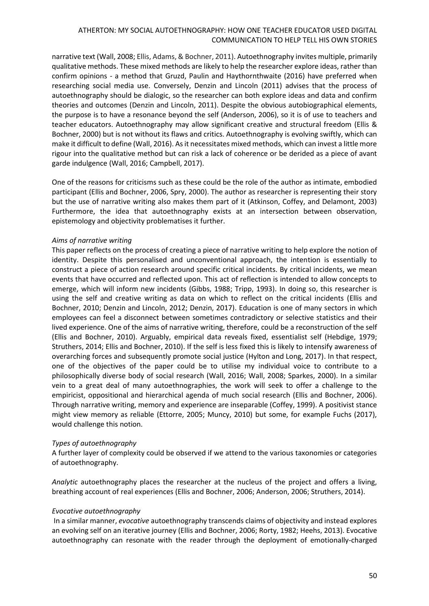narrative text (Wall, 2008; Ellis, Adams, & Bochner, 2011). Autoethnography invites multiple, primarily qualitative methods. These mixed methods are likely to help the researcher explore ideas, rather than confirm opinions - a method that Gruzd, Paulin and Haythornthwaite (2016) have preferred when researching social media use. Conversely, Denzin and Lincoln (2011) advises that the process of autoethnography should be dialogic, so the researcher can both explore ideas and data and confirm theories and outcomes (Denzin and Lincoln, 2011). Despite the obvious autobiographical elements, the purpose is to have a resonance beyond the self (Anderson, 2006), so it is of use to teachers and teacher educators. Autoethnography may allow significant creative and structural freedom (Ellis & Bochner, 2000) but is not without its flaws and critics. Autoethnography is evolving swiftly, which can make it difficult to define (Wall, 2016). As it necessitates mixed methods, which can invest a little more rigour into the qualitative method but can risk a lack of coherence or be derided as a piece of avant garde indulgence (Wall, 2016; Campbell, 2017).

One of the reasons for criticisms such as these could be the role of the author as intimate, embodied participant (Ellis and Bochner, 2006, Spry, 2000). The author as researcher is representing their story but the use of narrative writing also makes them part of it (Atkinson, Coffey, and Delamont, 2003) Furthermore, the idea that autoethnography exists at an intersection between observation, epistemology and objectivity problematises it further.

#### *Aims of narrative writing*

This paper reflects on the process of creating a piece of narrative writing to help explore the notion of identity. Despite this personalised and unconventional approach, the intention is essentially to construct a piece of action research around specific critical incidents. By critical incidents, we mean events that have occurred and reflected upon. This act of reflection is intended to allow concepts to emerge, which will inform new incidents (Gibbs, 1988; Tripp, 1993). In doing so, this researcher is using the self and creative writing as data on which to reflect on the critical incidents (Ellis and Bochner, 2010; Denzin and Lincoln, 2012; Denzin, 2017). Education is one of many sectors in which employees can feel a disconnect between sometimes contradictory or selective statistics and their lived experience. One of the aims of narrative writing, therefore, could be a reconstruction of the self (Ellis and Bochner, 2010). Arguably, empirical data reveals fixed, essentialist self (Hebdige, 1979; Struthers, 2014; Ellis and Bochner, 2010). If the self is less fixed this is likely to intensify awareness of overarching forces and subsequently promote social justice (Hylton and Long, 2017). In that respect, one of the objectives of the paper could be to utilise my individual voice to contribute to a philosophically diverse body of social research (Wall, 2016; Wall, 2008; Sparkes, 2000). In a similar vein to a great deal of many autoethnographies, the work will seek to offer a challenge to the empiricist, oppositional and hierarchical agenda of much social research (Ellis and Bochner, 2006). Through narrative writing, memory and experience are inseparable (Coffey, 1999). A positivist stance might view memory as reliable (Ettorre, 2005; Muncy, 2010) but some, for example Fuchs (2017), would challenge this notion.

#### *Types of autoethnography*

A further layer of complexity could be observed if we attend to the various taxonomies or categories of autoethnography.

*Analytic* autoethnography places the researcher at the nucleus of the project and offers a living, breathing account of real experiences (Ellis and Bochner, 2006; Anderson, 2006; Struthers, 2014).

#### *Evocative autoethnography*

In a similar manner, *evocative* autoethnography transcends claims of objectivity and instead explores an evolving self on an iterative journey (Ellis and Bochner, 2006; Rorty, 1982; Heehs, 2013). Evocative autoethnography can resonate with the reader through the deployment of emotionally-charged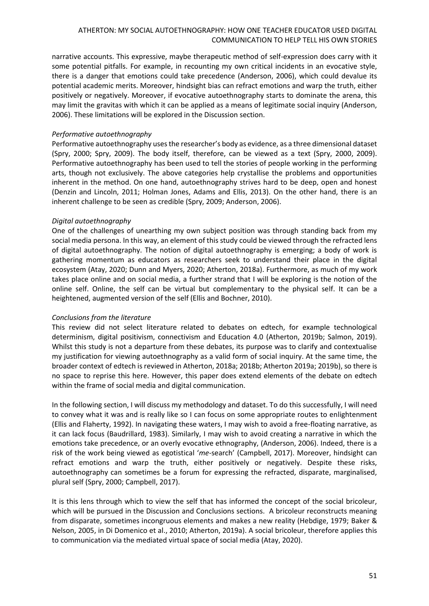narrative accounts. This expressive, maybe therapeutic method of self-expression does carry with it some potential pitfalls. For example, in recounting my own critical incidents in an evocative style, there is a danger that emotions could take precedence (Anderson, 2006), which could devalue its potential academic merits. Moreover, hindsight bias can refract emotions and warp the truth, either positively or negatively. Moreover, if evocative autoethnography starts to dominate the arena, this may limit the gravitas with which it can be applied as a means of legitimate social inquiry (Anderson, 2006). These limitations will be explored in the Discussion section.

#### *Performative autoethnography*

Performative autoethnography uses the researcher's body as evidence, as a three dimensional dataset (Spry, 2000; Spry, 2009). The body itself, therefore, can be viewed as a text (Spry, 2000, 2009). Performative autoethnography has been used to tell the stories of people working in the performing arts, though not exclusively. The above categories help crystallise the problems and opportunities inherent in the method. On one hand, autoethnography strives hard to be deep, open and honest (Denzin and Lincoln, 2011; Holman Jones, Adams and Ellis, 2013). On the other hand, there is an inherent challenge to be seen as credible (Spry, 2009; Anderson, 2006).

#### *Digital autoethnography*

One of the challenges of unearthing my own subject position was through standing back from my social media persona. In this way, an element of this study could be viewed through the refracted lens of digital autoethnography. The notion of digital autoethnography is emerging; a body of work is gathering momentum as educators as researchers seek to understand their place in the digital ecosystem (Atay, 2020; Dunn and Myers, 2020; Atherton, 2018a). Furthermore, as much of my work takes place online and on social media, a further strand that I will be exploring is the notion of the online self. Online, the self can be virtual but complementary to the physical self. It can be a heightened, augmented version of the self (Ellis and Bochner, 2010).

#### *Conclusions from the literature*

This review did not select literature related to debates on edtech, for example technological determinism, digital positivism, connectivism and Education 4.0 (Atherton, 2019b; Salmon, 2019). Whilst this study is not a departure from these debates, its purpose was to clarify and contextualise my justification for viewing autoethnography as a valid form of social inquiry. At the same time, the broader context of edtech is reviewed in Atherton, 2018a; 2018b; Atherton 2019a; 2019b), so there is no space to reprise this here. However, this paper does extend elements of the debate on edtech within the frame of social media and digital communication.

In the following section, I will discuss my methodology and dataset. To do this successfully, I will need to convey what it was and is really like so I can focus on some appropriate routes to enlightenment (Ellis and Flaherty, 1992). In navigating these waters, I may wish to avoid a free-floating narrative, as it can lack focus (Baudrillard, 1983). Similarly, I may wish to avoid creating a narrative in which the emotions take precedence, or an overly evocative ethnography, (Anderson, 2006). Indeed, there is a risk of the work being viewed as egotistical '*me-*search' (Campbell, 2017). Moreover, hindsight can refract emotions and warp the truth, either positively or negatively. Despite these risks, autoethnography can sometimes be a forum for expressing the refracted, disparate, marginalised, plural self (Spry, 2000; Campbell, 2017).

It is this lens through which to view the self that has informed the concept of the social bricoleur, which will be pursued in the Discussion and Conclusions sections. A bricoleur reconstructs meaning from disparate, sometimes incongruous elements and makes a new reality (Hebdige, 1979; Baker & Nelson, 2005, in Di Domenico et al., 2010; Atherton, 2019a). A social bricoleur, therefore applies this to communication via the mediated virtual space of social media (Atay, 2020).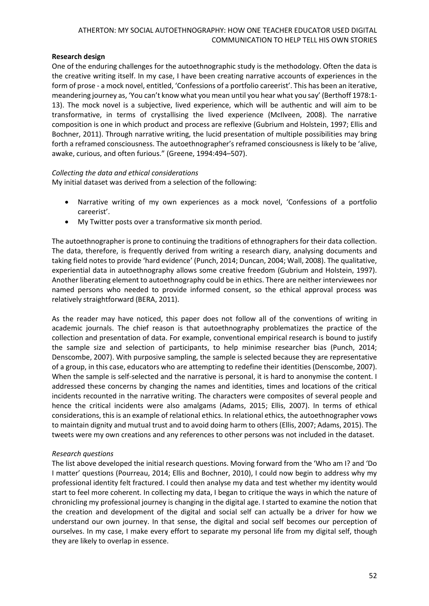# **Research design**

One of the enduring challenges for the autoethnographic study is the methodology. Often the data is the creative writing itself. In my case, I have been creating narrative accounts of experiences in the form of prose - a mock novel, entitled, 'Confessions of a portfolio careerist'. This has been an iterative, meandering journey as, 'You can't know what you mean until you hear what you say' (Berthoff 1978:1- 13). The mock novel is a subjective, lived experience, which will be authentic and will aim to be transformative, in terms of crystallising the lived experience (McIlveen, 2008). The narrative composition is one in which product and process are reflexive (Gubrium and Holstein, 1997; Ellis and Bochner, 2011). Through narrative writing, the lucid presentation of multiple possibilities may bring forth a reframed consciousness. The autoethnographer's reframed consciousness is likely to be 'alive, awake, curious, and often furious." (Greene, 1994:494–507).

# *Collecting the data and ethical considerations*

My initial dataset was derived from a selection of the following:

- Narrative writing of my own experiences as a mock novel, 'Confessions of a portfolio careerist'.
- My Twitter posts over a transformative six month period.

The autoethnographer is prone to continuing the traditions of ethnographers for their data collection. The data, therefore, is frequently derived from writing a research diary, analysing documents and taking field notes to provide 'hard evidence' (Punch, 2014; Duncan, 2004; Wall, 2008). The qualitative, experiential data in autoethnography allows some creative freedom (Gubrium and Holstein, 1997). Another liberating element to autoethnography could be in ethics. There are neither interviewees nor named persons who needed to provide informed consent, so the ethical approval process was relatively straightforward (BERA, 2011).

As the reader may have noticed, this paper does not follow all of the conventions of writing in academic journals. The chief reason is that autoethnography problematizes the practice of the collection and presentation of data. For example, conventional empirical research is bound to justify the sample size and selection of participants, to help minimise researcher bias (Punch, 2014; Denscombe, 2007). With purposive sampling, the sample is selected because they are representative of a group, in this case, educators who are attempting to redefine their identities (Denscombe, 2007). When the sample is self-selected and the narrative is personal, it is hard to anonymise the content. I addressed these concerns by changing the names and identities, times and locations of the critical incidents recounted in the narrative writing. The characters were composites of several people and hence the critical incidents were also amalgams (Adams, 2015; Ellis, 2007). In terms of ethical considerations, this is an example of relational ethics. In relational ethics, the autoethnographer vows to maintain dignity and mutual trust and to avoid doing harm to others (Ellis, 2007; Adams, 2015). The tweets were my own creations and any references to other persons was not included in the dataset.

#### *Research questions*

The list above developed the initial research questions. Moving forward from the 'Who am I? and 'Do I matter' questions (Pourreau, 2014; Ellis and Bochner, 2010), I could now begin to address why my professional identity felt fractured. I could then analyse my data and test whether my identity would start to feel more coherent. In collecting my data, I began to critique the ways in which the nature of chronicling my professional journey is changing in the digital age. I started to examine the notion that the creation and development of the digital and social self can actually be a driver for how we understand our own journey. In that sense, the digital and social self becomes our perception of ourselves. In my case, I make every effort to separate my personal life from my digital self, though they are likely to overlap in essence.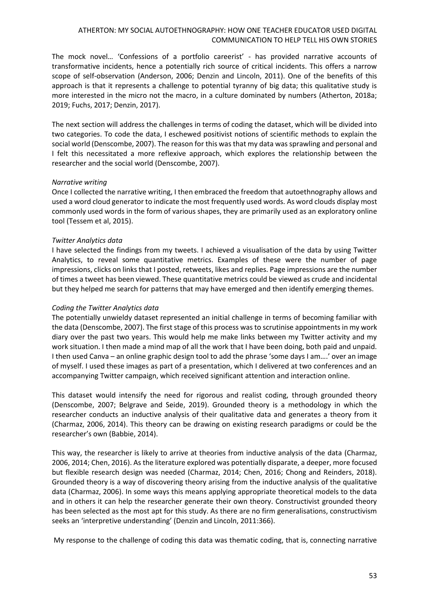The mock novel… 'Confessions of a portfolio careerist' - has provided narrative accounts of transformative incidents, hence a potentially rich source of critical incidents. This offers a narrow scope of self-observation (Anderson, 2006; Denzin and Lincoln, 2011). One of the benefits of this approach is that it represents a challenge to potential tyranny of big data; this qualitative study is more interested in the micro not the macro, in a culture dominated by numbers (Atherton, 2018a; 2019; Fuchs, 2017; Denzin, 2017).

The next section will address the challenges in terms of coding the dataset, which will be divided into two categories. To code the data, I eschewed positivist notions of scientific methods to explain the social world (Denscombe, 2007). The reason for this was that my data was sprawling and personal and I felt this necessitated a more reflexive approach, which explores the relationship between the researcher and the social world (Denscombe, 2007).

#### *Narrative writing*

Once I collected the narrative writing, I then embraced the freedom that autoethnography allows and used a word cloud generator to indicate the most frequently used words. As word clouds display most commonly used words in the form of various shapes, they are primarily used as an exploratory online tool (Tessem et al, 2015).

# *Twitter Analytics data*

I have selected the findings from my tweets. I achieved a visualisation of the data by using Twitter Analytics, to reveal some quantitative metrics. Examples of these were the number of page impressions, clicks on links that I posted, retweets, likes and replies. Page impressions are the number of times a tweet has been viewed. These quantitative metrics could be viewed as crude and incidental but they helped me search for patterns that may have emerged and then identify emerging themes.

#### *Coding the Twitter Analytics data*

The potentially unwieldy dataset represented an initial challenge in terms of becoming familiar with the data (Denscombe, 2007). The first stage of this process was to scrutinise appointments in my work diary over the past two years. This would help me make links between my Twitter activity and my work situation. I then made a mind map of all the work that I have been doing, both paid and unpaid. I then used Canva – an online graphic design tool to add the phrase 'some days I am….' over an image of myself. I used these images as part of a presentation, which I delivered at two conferences and an accompanying Twitter campaign, which received significant attention and interaction online.

This dataset would intensify the need for rigorous and realist coding, through grounded theory (Denscombe, 2007; Belgrave and Seide, 2019). Grounded theory is a methodology in which the researcher conducts an inductive analysis of their qualitative data and generates a theory from it (Charmaz, 2006, 2014). This theory can be drawing on existing research paradigms or could be the researcher's own (Babbie, 2014).

This way, the researcher is likely to arrive at theories from inductive analysis of the data (Charmaz, 2006, 2014; Chen, 2016). As the literature explored was potentially disparate, a deeper, more focused but flexible research design was needed (Charmaz, 2014; Chen, 2016; Chong and Reinders, 2018). Grounded theory is a way of discovering theory arising from the inductive analysis of the qualitative data (Charmaz, 2006). In some ways this means applying appropriate theoretical models to the data and in others it can help the researcher generate their own theory. Constructivist grounded theory has been selected as the most apt for this study. As there are no firm generalisations, constructivism seeks an 'interpretive understanding' (Denzin and Lincoln, 2011:366).

My response to the challenge of coding this data was thematic coding, that is, connecting narrative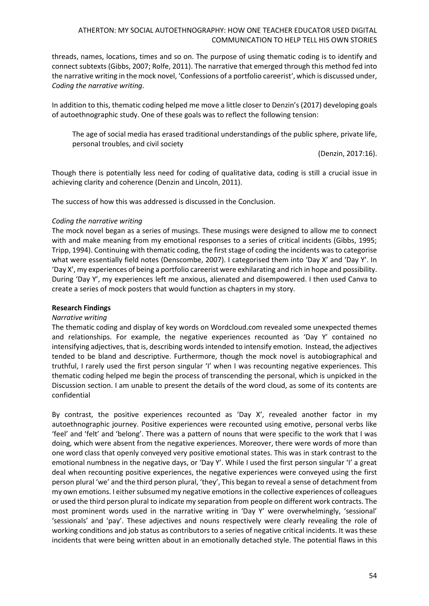threads, names, locations, times and so on. The purpose of using thematic coding is to identify and connect subtexts (Gibbs, 2007; Rolfe, 2011). The narrative that emerged through this method fed into the narrative writing in the mock novel, 'Confessions of a portfolio careerist', which is discussed under, *Coding the narrative writing*.

In addition to this, thematic coding helped me move a little closer to Denzin's (2017) developing goals of autoethnographic study. One of these goals was to reflect the following tension:

The age of social media has erased traditional understandings of the public sphere, private life, personal troubles, and civil society

(Denzin, 2017:16).

Though there is potentially less need for coding of qualitative data, coding is still a crucial issue in achieving clarity and coherence (Denzin and Lincoln, 2011).

The success of how this was addressed is discussed in the Conclusion.

#### *Coding the narrative writing*

The mock novel began as a series of musings. These musings were designed to allow me to connect with and make meaning from my emotional responses to a series of critical incidents (Gibbs, 1995; Tripp, 1994). Continuing with thematic coding, the first stage of coding the incidents was to categorise what were essentially field notes (Denscombe, 2007). I categorised them into 'Day X' and 'Day Y'. In 'Day X', my experiences of being a portfolio careerist were exhilarating and rich in hope and possibility. During 'Day Y', my experiences left me anxious, alienated and disempowered. I then used Canva to create a series of mock posters that would function as chapters in my story.

#### **Research Findings**

# *Narrative writing*

The thematic coding and display of key words on Wordcloud.com revealed some unexpected themes and relationships. For example, the negative experiences recounted as 'Day Y' contained no intensifying adjectives, that is, describing words intended to intensify emotion. Instead, the adjectives tended to be bland and descriptive. Furthermore, though the mock novel is autobiographical and truthful, I rarely used the first person singular 'I' when I was recounting negative experiences. This thematic coding helped me begin the process of transcending the personal, which is unpicked in the Discussion section. I am unable to present the details of the word cloud, as some of its contents are confidential

By contrast, the positive experiences recounted as 'Day X', revealed another factor in my autoethnographic journey. Positive experiences were recounted using emotive, personal verbs like 'feel' and 'felt' and 'belong'. There was a pattern of nouns that were specific to the work that I was doing, which were absent from the negative experiences. Moreover, there were words of more than one word class that openly conveyed very positive emotional states. This was in stark contrast to the emotional numbness in the negative days, or 'Day Y'. While I used the first person singular 'I' a great deal when recounting positive experiences, the negative experiences were conveyed using the first person plural 'we' and the third person plural, 'they', This began to reveal a sense of detachment from my own emotions. I either subsumed my negative emotions in the collective experiences of colleagues or used the third person plural to indicate my separation from people on different work contracts. The most prominent words used in the narrative writing in 'Day Y' were overwhelmingly, 'sessional' 'sessionals' and 'pay'. These adjectives and nouns respectively were clearly revealing the role of working conditions and job status as contributors to a series of negative critical incidents. It was these incidents that were being written about in an emotionally detached style. The potential flaws in this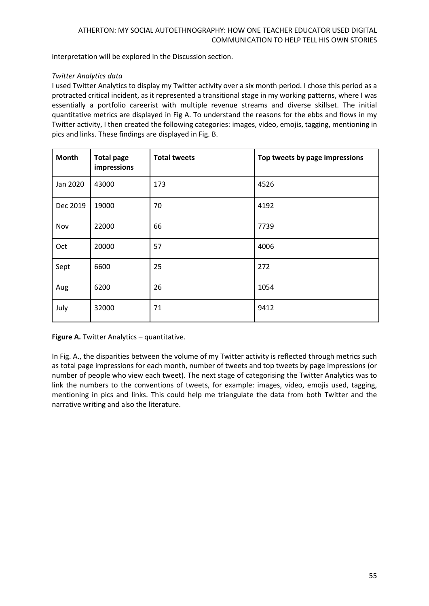interpretation will be explored in the Discussion section.

# *Twitter Analytics data*

I used Twitter Analytics to display my Twitter activity over a six month period. I chose this period as a protracted critical incident, as it represented a transitional stage in my working patterns, where I was essentially a portfolio careerist with multiple revenue streams and diverse skillset. The initial quantitative metrics are displayed in Fig A. To understand the reasons for the ebbs and flows in my Twitter activity, I then created the following categories: images, video, emojis, tagging, mentioning in pics and links. These findings are displayed in Fig. B.

| <b>Month</b> | <b>Total page</b><br>impressions | <b>Total tweets</b> | Top tweets by page impressions |
|--------------|----------------------------------|---------------------|--------------------------------|
| Jan 2020     | 43000                            | 173                 | 4526                           |
| Dec 2019     | 19000                            | 70                  | 4192                           |
| Nov          | 22000                            | 66                  | 7739                           |
| Oct          | 20000                            | 57                  | 4006                           |
| Sept         | 6600                             | 25                  | 272                            |
| Aug          | 6200                             | 26                  | 1054                           |
| July         | 32000                            | 71                  | 9412                           |

**Figure A.** Twitter Analytics – quantitative.

In Fig. A., the disparities between the volume of my Twitter activity is reflected through metrics such as total page impressions for each month, number of tweets and top tweets by page impressions (or number of people who view each tweet). The next stage of categorising the Twitter Analytics was to link the numbers to the conventions of tweets, for example: images, video, emojis used, tagging, mentioning in pics and links. This could help me triangulate the data from both Twitter and the narrative writing and also the literature.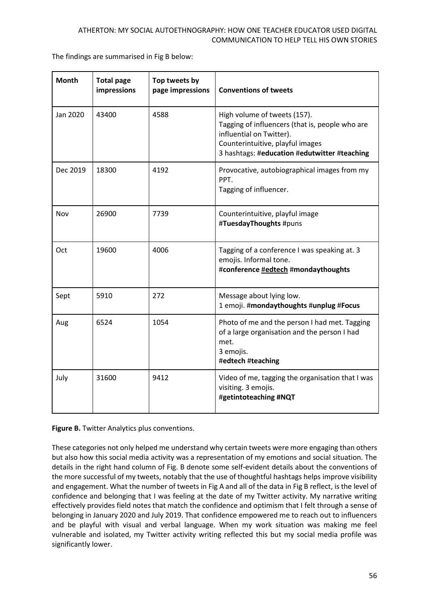The findings are summarised in Fig B below:

| <b>Month</b> | <b>Total page</b><br>impressions | Top tweets by<br>page impressions | <b>Conventions of tweets</b>                                                                                                                                                                    |
|--------------|----------------------------------|-----------------------------------|-------------------------------------------------------------------------------------------------------------------------------------------------------------------------------------------------|
| Jan 2020     | 43400                            | 4588                              | High volume of tweets (157).<br>Tagging of influencers (that is, people who are<br>influential on Twitter).<br>Counterintuitive, playful images<br>3 hashtags: #education #edutwitter #teaching |
| Dec 2019     | 18300                            | 4192                              | Provocative, autobiographical images from my<br>PPT.<br>Tagging of influencer.                                                                                                                  |
| Nov          | 26900                            | 7739                              | Counterintuitive, playful image<br>#TuesdayThoughts #puns                                                                                                                                       |
| Oct          | 19600                            | 4006                              | Tagging of a conference I was speaking at. 3<br>emojis. Informal tone.<br>#conference #edtech #mondaythoughts                                                                                   |
| Sept         | 5910                             | 272                               | Message about lying low.<br>1 emoji. #mondaythoughts #unplug #Focus                                                                                                                             |
| Aug          | 6524                             | 1054                              | Photo of me and the person I had met. Tagging<br>of a large organisation and the person I had<br>met.<br>3 emojis.<br>#edtech #teaching                                                         |
| July         | 31600                            | 9412                              | Video of me, tagging the organisation that I was<br>visiting. 3 emojis.<br>#getintoteaching #NQT                                                                                                |

**Figure B.** Twitter Analytics plus conventions.

These categories not only helped me understand why certain tweets were more engaging than others but also how this social media activity was a representation of my emotions and social situation. The details in the right hand column of Fig. B denote some self-evident details about the conventions of the more successful of my tweets, notably that the use of thoughtful hashtags helps improve visibility and engagement. What the number of tweets in Fig A and all of the data in Fig B reflect, is the level of confidence and belonging that I was feeling at the date of my Twitter activity. My narrative writing effectively provides field notes that match the confidence and optimism that I felt through a sense of belonging in January 2020 and July 2019. That confidence empowered me to reach out to influencers and be playful with visual and verbal language. When my work situation was making me feel vulnerable and isolated, my Twitter activity writing reflected this but my social media profile was significantly lower.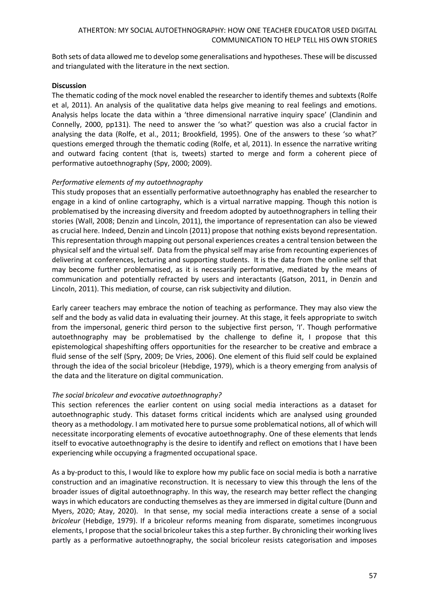Both sets of data allowed me to develop some generalisations and hypotheses. These will be discussed and triangulated with the literature in the next section.

### **Discussion**

The thematic coding of the mock novel enabled the researcher to identify themes and subtexts (Rolfe et al, 2011). An analysis of the qualitative data helps give meaning to real feelings and emotions. Analysis helps locate the data within a 'three dimensional narrative inquiry space' (Clandinin and Connelly, 2000, pp131). The need to answer the 'so what?' question was also a crucial factor in analysing the data (Rolfe, et al., 2011; Brookfield, 1995). One of the answers to these 'so what?' questions emerged through the thematic coding (Rolfe, et al, 2011). In essence the narrative writing and outward facing content (that is, tweets) started to merge and form a coherent piece of performative autoethnography (Spy, 2000; 2009).

# *Performative elements of my autoethnography*

This study proposes that an essentially performative autoethnography has enabled the researcher to engage in a kind of online cartography, which is a virtual narrative mapping. Though this notion is problematised by the increasing diversity and freedom adopted by autoethnographers in telling their stories (Wall, 2008; Denzin and Lincoln, 2011), the importance of representation can also be viewed as crucial here. Indeed, Denzin and Lincoln (2011) propose that nothing exists beyond representation. This representation through mapping out personal experiences creates a central tension between the physical self and the virtual self. Data from the physical self may arise from recounting experiences of delivering at conferences, lecturing and supporting students. It is the data from the online self that may become further problematised, as it is necessarily performative, mediated by the means of communication and potentially refracted by users and interactants (Gatson, 2011, in Denzin and Lincoln, 2011). This mediation, of course, can risk subjectivity and dilution.

Early career teachers may embrace the notion of teaching as performance. They may also view the self and the body as valid data in evaluating their journey. At this stage, it feels appropriate to switch from the impersonal, generic third person to the subjective first person, 'I'. Though performative autoethnography may be problematised by the challenge to define it, I propose that this epistemological shapeshifting offers opportunities for the researcher to be creative and embrace a fluid sense of the self (Spry, 2009; De Vries, 2006). One element of this fluid self could be explained through the idea of the social bricoleur (Hebdige, 1979), which is a theory emerging from analysis of the data and the literature on digital communication.

# *The social bricoleur and evocative autoethnography?*

This section references the earlier content on using social media interactions as a dataset for autoethnographic study. This dataset forms critical incidents which are analysed using grounded theory as a methodology. I am motivated here to pursue some problematical notions, all of which will necessitate incorporating elements of evocative autoethnography. One of these elements that lends itself to evocative autoethnography is the desire to identify and reflect on emotions that I have been experiencing while occupying a fragmented occupational space.

As a by-product to this, I would like to explore how my public face on social media is both a narrative construction and an imaginative reconstruction. It is necessary to view this through the lens of the broader issues of digital autoethnography. In this way, the research may better reflect the changing ways in which educators are conducting themselves as they are immersed in digital culture (Dunn and Myers, 2020; Atay, 2020). In that sense, my social media interactions create a sense of a social *bricoleur* (Hebdige, 1979). If a bricoleur reforms meaning from disparate, sometimes incongruous elements, I propose that the social bricoleur takes this a step further. By chronicling their working lives partly as a performative autoethnography, the social bricoleur resists categorisation and imposes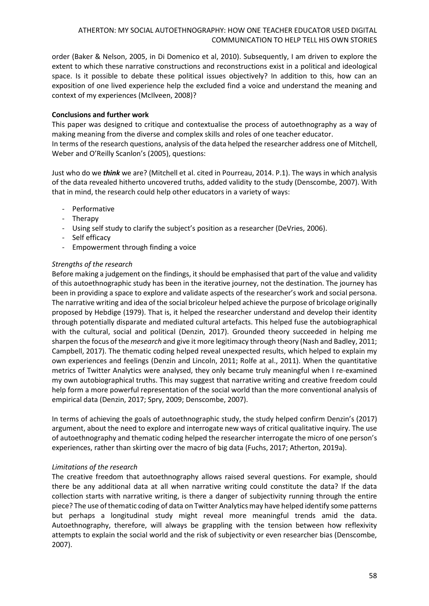order (Baker & Nelson, 2005, in Di Domenico et al, 2010). Subsequently, I am driven to explore the extent to which these narrative constructions and reconstructions exist in a political and ideological space. Is it possible to debate these political issues objectively? In addition to this, how can an exposition of one lived experience help the excluded find a voice and understand the meaning and context of my experiences (McIlveen, 2008)?

# **Conclusions and further work**

This paper was designed to critique and contextualise the process of autoethnography as a way of making meaning from the diverse and complex skills and roles of one teacher educator. In terms of the research questions, analysis of the data helped the researcher address one of Mitchell, Weber and O'Reilly Scanlon's (2005), questions:

Just who do we *think* we are? (Mitchell et al. cited in Pourreau, 2014. P.1). The ways in which analysis of the data revealed hitherto uncovered truths, added validity to the study (Denscombe, 2007). With that in mind, the research could help other educators in a variety of ways:

- Performative
- Therapy
- Using self study to clarify the subject's position as a researcher (DeVries, 2006).
- Self efficacy
- Empowerment through finding a voice

#### *Strengths of the research*

Before making a judgement on the findings, it should be emphasised that part of the value and validity of this autoethnographic study has been in the iterative journey, not the destination. The journey has been in providing a space to explore and validate aspects of the researcher's work and social persona. The narrative writing and idea of the social bricoleur helped achieve the purpose of bricolage originally proposed by Hebdige (1979). That is, it helped the researcher understand and develop their identity through potentially disparate and mediated cultural artefacts. This helped fuse the autobiographical with the cultural, social and political (Denzin, 2017). Grounded theory succeeded in helping me sharpen the focus of the *mesearch* and give it more legitimacy through theory (Nash and Badley, 2011; Campbell, 2017). The thematic coding helped reveal unexpected results, which helped to explain my own experiences and feelings (Denzin and Lincoln, 2011; Rolfe at al., 2011). When the quantitative metrics of Twitter Analytics were analysed, they only became truly meaningful when I re-examined my own autobiographical truths. This may suggest that narrative writing and creative freedom could help form a more powerful representation of the social world than the more conventional analysis of empirical data (Denzin, 2017; Spry, 2009; Denscombe, 2007).

In terms of achieving the goals of autoethnographic study, the study helped confirm Denzin's (2017) argument, about the need to explore and interrogate new ways of critical qualitative inquiry. The use of autoethnography and thematic coding helped the researcher interrogate the micro of one person's experiences, rather than skirting over the macro of big data (Fuchs, 2017; Atherton, 2019a).

# *Limitations of the research*

The creative freedom that autoethnography allows raised several questions. For example, should there be any additional data at all when narrative writing could constitute the data? If the data collection starts with narrative writing, is there a danger of subjectivity running through the entire piece? The use of thematic coding of data on Twitter Analytics may have helped identify some patterns but perhaps a longitudinal study might reveal more meaningful trends amid the data. Autoethnography, therefore, will always be grappling with the tension between how reflexivity attempts to explain the social world and the risk of subjectivity or even researcher bias (Denscombe, 2007).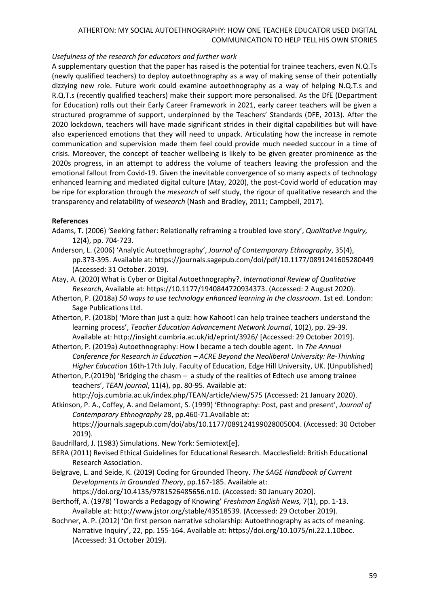# *Usefulness of the research for educators and further work*

A supplementary question that the paper has raised is the potential for trainee teachers, even N.Q.Ts (newly qualified teachers) to deploy autoethnography as a way of making sense of their potentially dizzying new role. Future work could examine autoethnography as a way of helping N.Q.T.s and R.Q.T.s (recently qualified teachers) make their support more personalised. As the DfE (Department for Education) rolls out their Early Career Framework in 2021, early career teachers will be given a structured programme of support, underpinned by the Teachers' Standards (DFE, 2013). After the 2020 lockdown, teachers will have made significant strides in their digital capabilities but will have also experienced emotions that they will need to unpack. Articulating how the increase in remote communication and supervision made them feel could provide much needed succour in a time of crisis. Moreover, the concept of teacher wellbeing is likely to be given greater prominence as the 2020s progress, in an attempt to address the volume of teachers leaving the profession and the emotional fallout from Covid-19. Given the inevitable convergence of so many aspects of technology enhanced learning and mediated digital culture (Atay, 2020), the post-Covid world of education may be ripe for exploration through the *mesearch* of self study, the rigour of qualitative research and the transparency and relatability of *wesearch* (Nash and Bradley, 2011; Campbell, 2017).

# **References**

- Adams, T. (2006) 'Seeking father: Relationally reframing a troubled love story', *Qualitative Inquiry,*  12(4), pp. 704-723.
- Anderson, L. (2006) 'Analytic Autoethnography', *Journal of Contemporary Ethnography*, 35(4), pp.373-395. Available at: https://journals.sagepub.com/doi/pdf/10.1177/0891241605280449 (Accessed: 31 October. 2019).
- Atay, A. (2020) What is Cyber or Digital Autoethnography?. *International Review of Qualitative Research*, Available at[: https://10.1177/1940844720934373.](about:blank) (Accessed: 2 August 2020).
- Atherton, P. (2018a) *50 ways to use technology enhanced learning in the classroom*. 1st ed. London: Sage Publications Ltd.
- Atherton, P. (2018b) 'More than just a quiz: how Kahoot! can help trainee teachers understand the learning process', *Teacher Education Advancement Network Journal*, 10(2), pp. 29-39. Available at[:](http://insight.cumbria.ac.uk/id/eprint/3926/) <http://insight.cumbria.ac.uk/id/eprint/3926/> [Accessed: 29 October 2019].
- Atherton, P. (2019a) Autoethnography: How I became a tech double agent. In *The Annual Conference for Research in Education – ACRE Beyond the Neoliberal University: Re-Thinking Higher Education* 16th-17th July. Faculty of Education, Edge Hill University, UK. (Unpublished)
- Atherton, P.(2019b) 'Bridging the chasm a study of the realities of Edtech use among trainee teachers', *TEAN journal*, 11(4), pp. 80-95. Available at[:](http://ojs.cumbria.ac.uk/index.php/TEAN/article/view/575) <http://ojs.cumbria.ac.uk/index.php/TEAN/article/view/575> (Accessed: 21 January 2020).
- Atkinson, P. A., Coffey, A. and Delamont, S. (1999) 'Ethnography: Post, past and present', *Journal of Contemporary Ethnography* 28, pp.460-71.Available at[:](https://journals.sagepub.com/doi/abs/10.1177/089124199028005004) [https://journals.sagepub.com/doi/abs/10.1177/089124199028005004.](https://journals.sagepub.com/doi/abs/10.1177/089124199028005004) (Accessed: 30 October 2019).

Baudrillard, J. (1983) Simulations. New York: Semiotext[e].

- BERA (2011) Revised Ethical Guidelines for Educational Research. Macclesfield: British Educational Research Association.
- Belgrave, L. and Seide, K. (2019) Coding for Grounded Theory. *The SAGE Handbook of Current Developments in Grounded Theory*, pp.167-185. Available at:

[https://doi.org/10.4135/9781526485656.n10.](https://dx.doi.org/10.4135/9781526485656.n10) (Accessed: 30 January 2020].

- Berthoff, A. (1978) 'Towards a Pedagogy of Knowing' *Freshman English News,* 7(1), pp. 1-13. Available at[:](http://www.jstor.org/stable/43518539) [http://www.jstor.org/stable/43518539.](http://www.jstor.org/stable/43518539) (Accessed: 29 October 2019).
- Bochner, A. P. (2012) 'On first person narrative scholarship: Autoethnography as acts of meaning. Narrative Inquiry', 22, pp. 155-164. Available at: [https://doi.org/10.1075/ni.22.1.10boc.](https://doi.org/10.1075/ni.22.1.10boc) (Accessed: 31 October 2019).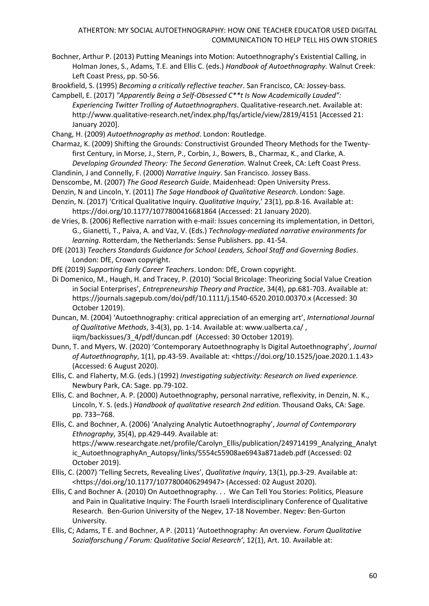Bochner, Arthur P. (2013) Putting Meanings into Motion: Autoethnography's Existential Calling, in Holman Jones, S., Adams, T.E. and Ellis C. (eds.) *Handbook of Autoethnography*. Walnut Creek: Left Coast Press, pp. 50-56.

Brookfield, S. (1995) *Becoming a critically reflective teacher*. San Francisco, CA: Jossey-bass.

- Campbell, E. (2017) *"Apparently Being a Self-Obsessed C\*\*t Is Now Academically Lauded": Experiencing Twitter Trolling of Autoethnographers*. Qualitative-research.net. Available at: http://www.qualitative-research.net/index.php/fqs/article/view/2819/4151 [Accessed 21: January 2020].
- Chang, H. (2009) *Autoethnography as method*. London: Routledge.
- Charmaz, K. (2009) Shifting the Grounds: Constructivist Grounded Theory Methods for the Twentyfirst Century, in Morse, J., Stern, P., Corbin, J., Bowers, B., Charmaz, K., and Clarke, A. *Developing Grounded Theory: The Second Generation*. Walnut Creek, CA: Left Coast Press.
- Clandinin, J and Connelly, F. (2000) *Narrative Inquiry*. San Francisco. Jossey Bass.
- Denscombe, M. (2007) *The Good Research Guide*. Maidenhead: Open University Press.
- Denzin, N and Lincoln, Y. (2011) *The Sage Handbook of Qualitative Research*. London: Sage.
- Denzin, N. (2017) 'Critical Qualitative Inquiry. *Qualitative Inquiry*,' 23(1), pp.8-16. Available at: https://doi.org/10.1177/1077800416681864 (Accessed: 21 January 2020).
- de Vries, B. (2006) Reflective narration with e-mail: Issues concerning its implementation, in Dettori, G., Gianetti, T., Paiva, A. and Vaz, V. (Eds.) *Technology-mediated narrative environments for learning.* Rotterdam, the Netherlands: Sense Publishers. pp. 41-54.
- DfE (2013) *Teachers Standards Guidance for School Leaders, School Staff and Governing Bodies*. London: DfE, Crown copyright.
- DfE (2019) *Supporting Early Career Teachers*. London: DfE, Crown copyright.
- Di Domenico, M., Haugh, H. and Tracey, P. (2010) 'Social Bricolage: Theorizing Social Value Creation in Social Enterprises', *Entrepreneurship Theory and Practice*, 34(4), pp.681-703. Available at[:](https://journals.sagepub.com/doi/pdf/10.1111/j.1540-6520.2010.00370.x) <https://journals.sagepub.com/doi/pdf/10.1111/j.1540-6520.2010.00370.x> (Accessed: 30 October 12019).
- Duncan, M. (2004) 'Autoethnography: critical appreciation of an emerging art', *International Journal of Qualitative Methods*, 3-4(3), pp. 1-14. Available at: www.ualberta.ca/ , iigm/backissues/3 4/pdf/duncan.pdf (Accessed: 30 October 12019).
- Dunn, T. and Myers, W. (2020) 'Contemporary Autoethnography Is Digital Autoethnography', *Journal of Autoethnography*, 1(1), pp.43-59. Available at: <https://doi.org/10.1525/joae.2020.1.1.43> (Accessed: 6 August 2020).
- Ellis, C. and Flaherty, M.G. (eds.) (1992) *Investigating subjectivity: Research on lived experience.* Newbury Park, CA: Sage. pp.79-102.
- Ellis, C. and Bochner, A. P. (2000) Autoethnography, personal narrative, reflexivity, in Denzin, N. K., Lincoln, Y. S. (eds.) *Handbook of qualitative research 2nd edition.* Thousand Oaks, CA: Sage. pp. 733–768.
- Ellis, C. and Bochner, A. (2006) 'Analyzing Analytic Autoethnography', *Journal of Contemporary Ethnography*, 35(4), pp.429-449. Available at: https://www.researchgate.net/profile/Carolyn\_Ellis/publication/249714199\_Analyzing\_Analyt ic\_AutoethnographyAn\_Autopsy/links/5554c55908ae6943a871adeb.pdf (Accessed: 02 October 2019).
- Ellis, C. (2007) 'Telling Secrets, Revealing Lives', *Qualitative Inquiry*, 13(1), pp.3-29. Available at: <https://doi.org/10.1177/1077800406294947> (Accessed: 02 August 2020).
- Ellis, C and Bochner A. (2010) On Autoethnography. . . We Can Tell You Stories: Politics, Pleasure and Pain in Qualitative Inquiry: The Fourth Israeli Interdisciplinary Conference of Qualitative Research. Ben-Gurion University of the Negev, 17-18 November. Negev: Ben-Gurton University.
- Ellis, C; Adams, T E. and Bochner, A P. (2011) 'Autoethnography: An overview. *Forum Qualitative Sozialforschung / Forum: Qualitative Social Research'*, 12(1), Art. 10. Available at: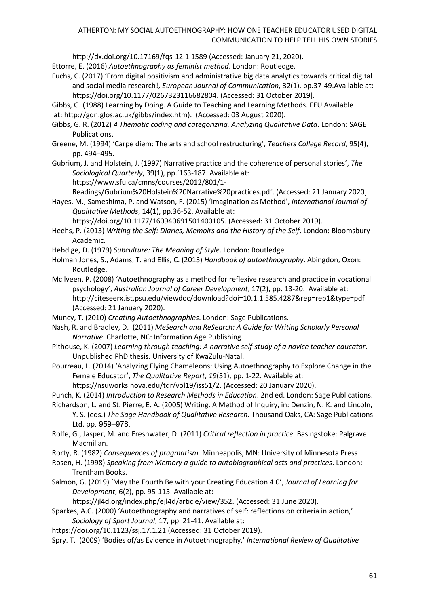<http://dx.doi.org/10.17169/fqs-12.1.1589> (Accessed: January 21, 2020).

Ettorre, E. (2016) *Autoethnography as feminist method*. London: Routledge.

- Fuchs, C. (2017) 'From digital positivism and administrative big data analytics towards critical digital and social media research!, *European Journal of Communication*, 32(1), pp.37-49.Available at[:](https://doi.org/10.1177%2F0267323116682804) [https://doi.org/10.1177/0267323116682804.](https://doi.org/10.1177%2F0267323116682804) (Accessed: 31 October 2019].
- Gibbs, G. (1988) Learning by Doing. A Guide to Teaching and Learning Methods. FEU Available at: [http://gdn.glos.ac.uk/gibbs/index.htm\)](http://gdn.glos.ac.uk/gibbs/index.htm). (Accessed: 03 August 2020).
- Gibbs, G. R. (2012) *4 Thematic coding and categorizing. Analyzing Qualitative Data*. London: SAGE Publications.
- Greene, M. (1994) 'Carpe diem: The arts and school restructuring', *Teachers College Record*, 95(4), pp. 494–495.
- Gubrium, J. and Holstein, J. (1997) Narrative practice and the coherence of personal stories', *The Sociological Quarterly*, 39(1), pp.'163-187. Available at:

[https://www.sfu.ca/cmns/courses/2012/801/1-](https://www.sfu.ca/cmns/courses/2012/801/1-Readings/Gubrium%20Holstein%20Narrative%20practices.pdf)

[Readings/Gubrium%20Holstein%20Narrative%20practices.pdf.](https://www.sfu.ca/cmns/courses/2012/801/1-Readings/Gubrium%20Holstein%20Narrative%20practices.pdf) (Accessed: 21 January 2020].

Hayes, M., Sameshima, P. and Watson, F. (2015) 'Imagination as Method', *International Journal of Qualitative Methods*, 14(1), pp.36-52. Available at[:](https://doi.org/10.1177%2F160940691501400105)

[https://doi.org/10.1177/160940691501400105.](https://doi.org/10.1177%2F160940691501400105) (Accessed: 31 October 2019).

- Heehs, P. (2013) *Writing the Self: Diaries, Memoirs and the History of the Self*. London: Bloomsbury Academic.
- Hebdige, D. (1979) *Subculture: The Meaning of Style*. London: Routledge
- Holman Jones, S., Adams, T. and Ellis, C. (2013) *Handbook of autoethnography*. Abingdon, Oxon: Routledge.
- McIlveen, P. (2008) 'Autoethnography as a method for reflexive research and practice in vocational psychology', *Australian Journal of Career Development*, 17(2), pp. 13-20. Available at[:](http://citeseerx.ist.psu.edu/viewdoc/download?doi=10.1.1.585.4287&rep=rep1&type=pdf) <http://citeseerx.ist.psu.edu/viewdoc/download?doi=10.1.1.585.4287&rep=rep1&type=pdf> (Accessed: 21 January 2020).
- Muncy, T. (2010) *Creating Autoethnographies*. London: Sage Publications.
- Nash, R. and Bradley, D. (2011) *MeSearch and ReSearch: A Guide for Writing Scholarly Personal Narrative*. Charlotte, NC: Information Age Publishing.
- Pithouse, K. (2007) *Learning through teaching: A narrative self‐study of a novice teacher educator*. Unpublished PhD thesis. University of KwaZulu‐Natal.
- Pourreau, L. (2014) 'Analyzing Flying Chameleons: Using Autoethnography to Explore Change in the Female Educator', *The Qualitative Report*, *19*(51), pp. 1-22. Available at[:](https://nsuworks.nova.edu/tqr/vol19/iss51/2)

[https://nsuworks.nova.edu/tqr/vol19/iss51/2.](https://nsuworks.nova.edu/tqr/vol19/iss51/2) (Accessed: 20 January 2020).

- Punch, K. (2014) *Introduction to Research Methods in Education*. 2nd ed. London: Sage Publications.
- Richardson, L. and St. Pierre, E. A. (2005) Writing. A Method of Inquiry, in: Denzin, N. K. and Lincoln, Y. S. (eds.) *The Sage Handbook of Qualitative Research*. Thousand Oaks, CA: Sage Publications Ltd. pp. 959–978.
- Rolfe, G., Jasper, M. and Freshwater, D. (2011) *Critical reflection in practice*. Basingstoke: Palgrave Macmillan.
- Rorty, R. (1982) *Consequences of pragmatism.* Minneapolis, MN: University of Minnesota Press
- Rosen, H. (1998) *Speaking from Memory a guide to autobiographical acts and practices*. London: Trentham Books.
- Salmon, G. (2019) 'May the Fourth Be with you: Creating Education 4.0', *Journal of Learning for Development*, 6(2), pp. 95-115. Available at:

[https://jl4d.org/index.php/ejl4d/article/view/352.](https://jl4d.org/index.php/ejl4d/article/view/352) (Accessed: 31 June 2020).

Sparkes, A.C. (2000) 'Autoethnography and narratives of self: reflections on criteria in action,' *Sociology of Sport Journal*, 17, pp. 21-41. Available at:

- <https://doi.org/10.1123/ssj.17.1.21> (Accessed: 31 October 2019).
- Spry. T. (2009) 'Bodies of/as Evidence in Autoethnography,' *International Review of Qualitative*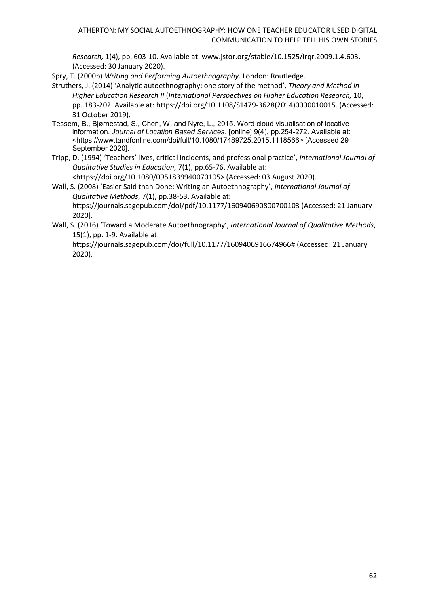*Research,* 1(4), pp. 603-10. Available at: [www.jstor.org/stable/10.1525/irqr.2009.1.4.603.](http://www.jstor.org/stable/10.1525/irqr.2009.1.4.603) (Accessed: 30 January 2020).

Spry, T. (2000b) *Writing and Performing Autoethnography*. London: Routledge.

- [Struthers, J.](https://www.emerald.com/insight/search?q=John%20Struthers) (2014) 'Analytic autoethnography: one story of the method', *Theory and Method in Higher Education Research II* (*International Perspectives on Higher Education Research,* 10, pp. 183-202. Available at[:](https://doi.org/10.1108/S1479-3628(2014)0000010015) [https://doi.org/10.1108/S1479-3628\(2014\)0000010015.](https://doi.org/10.1108/S1479-3628(2014)0000010015) (Accessed: 31 October 2019).
- Tessem, B., Bjørnestad, S., Chen, W. and Nyre, L., 2015. Word cloud visualisation of locative information. *Journal of Location Based Services*, [online] 9(4), pp.254-272. Available at: <https://www.tandfonline.com/doi/full/10.1080/17489725.2015.1118566> [Accessed 29 September 2020].
- Tripp, D. (1994) 'Teachers' lives, critical incidents, and professional practice', *International Journal of Qualitative Studies in Education*, 7(1), pp.65-76. Available at: <https://doi.org/10.1080/0951839940070105> (Accessed: 03 August 2020).
- Wall, S. (2008) 'Easier Said than Done: Writing an Autoethnography', *International Journal of Qualitative Methods*, 7(1), pp.38-53. Available at: https://journals.sagepub.com/doi/pdf/10.1177/160940690800700103 (Accessed: 21 January 2020].
- Wall, S. (2016) 'Toward a Moderate Autoethnography', *International Journal of Qualitative Methods*, 15(1), pp. 1-9. Available at:

https://journals.sagepub.com/doi/full/10.1177/1609406916674966# (Accessed: 21 January 2020).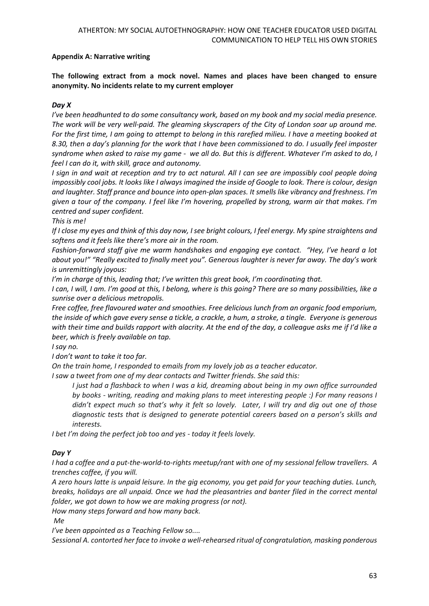# **Appendix A: Narrative writing**

**The following extract from a mock novel. Names and places have been changed to ensure anonymity. No incidents relate to my current employer**

# *Day X*

*I've been headhunted to do some consultancy work, based on my book and my social media presence. The work will be very well-paid. The gleaming skyscrapers of the City of London soar up around me. For the first time, I am going to attempt to belong in this rarefied milieu. I have a meeting booked at 8.30, then a day's planning for the work that I have been commissioned to do. I usually feel imposter syndrome when asked to raise my game - we all do. But this is different. Whatever I'm asked to do, I feel I can do it, with skill, grace and autonomy.*

*I sign in and wait at reception and try to act natural. All I can see are impossibly cool people doing impossibly cool jobs. It looks like I always imagined the inside of Google to look. There is colour, design and laughter. Staff prance and bounce into open-plan spaces. It smells like vibrancy and freshness. I'm given a tour of the company. I feel like I'm hovering, propelled by strong, warm air that makes. I'm centred and super confident.*

*This is me!*

*If I close my eyes and think of this day now, I see bright colours, I feel energy. My spine straightens and softens and it feels like there's more air in the room.* 

*Fashion-forward staff give me warm handshakes and engaging eye contact. "Hey, I've heard a lot about you!" "Really excited to finally meet you". Generous laughter is never far away. The day's work is unremittingly joyous:*

*I'm in charge of this, leading that; I've written this great book, I'm coordinating that.* 

*I can, I will, I am. I'm good at this, I belong, where is this going? There are so many possibilities, like a sunrise over a delicious metropolis.*

*Free coffee, free flavoured water and smoothies. Free delicious lunch from an organic food emporium, the inside of which gave every sense a tickle, a crackle, a hum, a stroke, a tingle. Everyone is generous with their time and builds rapport with alacrity. At the end of the day, a colleague asks me if I'd like a beer, which is freely available on tap.*

*I say no.*

*I don't want to take it too far.*

*On the train home, I responded to emails from my lovely job as a teacher educator.*

*I saw a tweet from one of my dear contacts and Twitter friends. She said this:*

*I just had a flashback to when I was a kid, dreaming about being in my own office surrounded by books - writing, reading and making plans to meet interesting people :) For many reasons I didn't expect much so that's why it felt so lovely. Later, I will try and dig out one of those diagnostic tests that is designed to generate potential careers based on a person's skills and interests.* 

*I bet I'm doing the perfect job too and yes - today it feels lovely.*

# *Day Y*

*I had a coffee and a put-the-world-to-rights meetup/rant with one of my sessional fellow travellers. A trenches coffee, if you will.* 

*A zero hours latte is unpaid leisure. In the gig economy, you get paid for your teaching duties. Lunch, breaks, holidays are all unpaid. Once we had the pleasantries and banter filed in the correct mental folder, we got down to how we are making progress (or not).*

*How many steps forward and how many back.*

*Me*

*I've been appointed as a Teaching Fellow so....*

*Sessional A. contorted her face to invoke a well-rehearsed ritual of congratulation, masking ponderous*